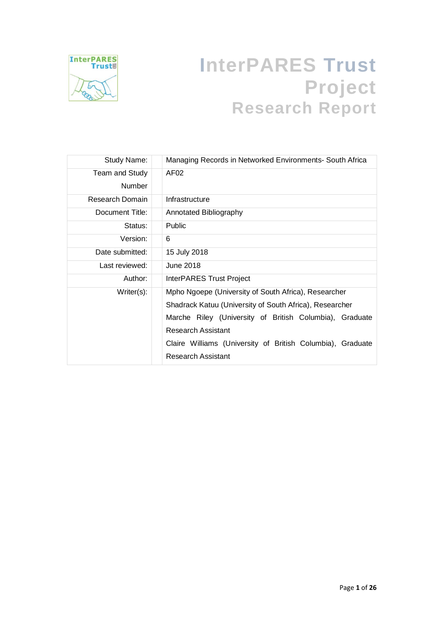

# **InterPARES Trust Project Research Report**

| Study Name:     | Managing Records in Networked Environments- South Africa   |  |  |
|-----------------|------------------------------------------------------------|--|--|
| Team and Study  | AF <sub>02</sub>                                           |  |  |
| <b>Number</b>   |                                                            |  |  |
| Research Domain | Infrastructure                                             |  |  |
| Document Title: | Annotated Bibliography                                     |  |  |
| Status:         | <b>Public</b>                                              |  |  |
| Version:        | 6                                                          |  |  |
| Date submitted: | 15 July 2018                                               |  |  |
| Last reviewed:  | June 2018                                                  |  |  |
| Author:         | <b>InterPARES Trust Project</b>                            |  |  |
| Writer(s):      | Mpho Ngoepe (University of South Africa), Researcher       |  |  |
|                 | Shadrack Katuu (University of South Africa), Researcher    |  |  |
|                 | Marche Riley (University of British Columbia),<br>Graduate |  |  |
|                 | Research Assistant                                         |  |  |
|                 | Claire Williams (University of British Columbia), Graduate |  |  |
|                 | Research Assistant                                         |  |  |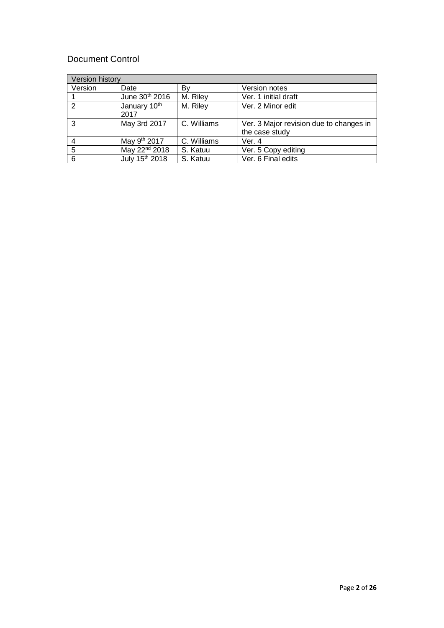# Document Control

| <b>Version history</b> |                            |             |                                                           |
|------------------------|----------------------------|-------------|-----------------------------------------------------------|
| Version                | Date                       | B٧          | Version notes                                             |
|                        | June 30th 2016             | M. Riley    | Ver. 1 initial draft                                      |
| 2                      | January 10th<br>2017       | M. Riley    | Ver. 2 Minor edit                                         |
| 3                      | May 3rd 2017               | C. Williams | Ver. 3 Major revision due to changes in<br>the case study |
|                        | May 9 <sup>th</sup> 2017   | C. Williams | Ver. 4                                                    |
| 5                      | May 22 <sup>nd</sup> 2018  | S. Katuu    | Ver. 5 Copy editing                                       |
| 6                      | July 15 <sup>th</sup> 2018 | S. Katuu    | Ver. 6 Final edits                                        |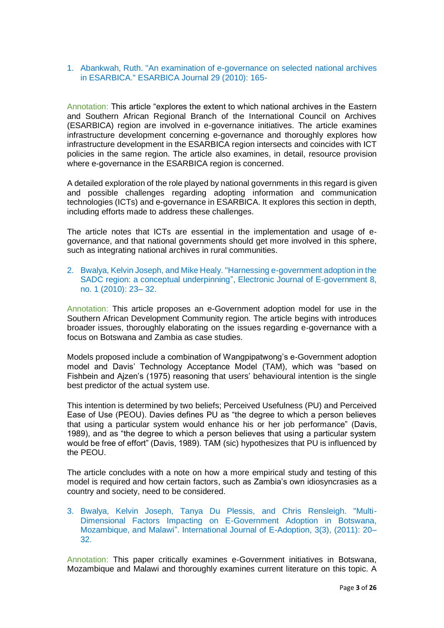1. Abankwah, Ruth. "An examination of e-governance on selected national archives in ESARBICA." ESARBICA Journal 29 (2010): 165-

Annotation: This article "explores the extent to which national archives in the Eastern and Southern African Regional Branch of the International Council on Archives (ESARBICA) region are involved in e-governance initiatives. The article examines infrastructure development concerning e-governance and thoroughly explores how infrastructure development in the ESARBICA region intersects and coincides with ICT policies in the same region. The article also examines, in detail, resource provision where e-governance in the ESARBICA region is concerned.

A detailed exploration of the role played by national governments in this regard is given and possible challenges regarding adopting information and communication technologies (ICTs) and e-governance in ESARBICA. It explores this section in depth, including efforts made to address these challenges.

The article notes that ICTs are essential in the implementation and usage of egovernance, and that national governments should get more involved in this sphere, such as integrating national archives in rural communities.

2. Bwalya, Kelvin Joseph, and Mike Healy. "Harnessing e-government adoption in the SADC region: a conceptual underpinning", Electronic Journal of E-government 8, no. 1 (2010): 23– 32.

Annotation: This article proposes an e-Government adoption model for use in the Southern African Development Community region. The article begins with introduces broader issues, thoroughly elaborating on the issues regarding e-governance with a focus on Botswana and Zambia as case studies.

Models proposed include a combination of Wangpipatwong's e-Government adoption model and Davis' Technology Acceptance Model (TAM), which was "based on Fishbein and Ajzen's (1975) reasoning that users' behavioural intention is the single best predictor of the actual system use.

This intention is determined by two beliefs; Perceived Usefulness (PU) and Perceived Ease of Use (PEOU). Davies defines PU as "the degree to which a person believes that using a particular system would enhance his or her job performance" (Davis, 1989), and as "the degree to which a person believes that using a particular system would be free of effort" (Davis, 1989). TAM (sic) hypothesizes that PU is influenced by the PEOU.

The article concludes with a note on how a more empirical study and testing of this model is required and how certain factors, such as Zambia's own idiosyncrasies as a country and society, need to be considered.

3. Bwalya, Kelvin Joseph, Tanya Du Plessis, and Chris Rensleigh. "Multi-Dimensional Factors Impacting on E-Government Adoption in Botswana, Mozambique, and Malawi". International Journal of E-Adoption, 3(3), (2011): 20– 32.

Annotation: This paper critically examines e-Government initiatives in Botswana, Mozambique and Malawi and thoroughly examines current literature on this topic. A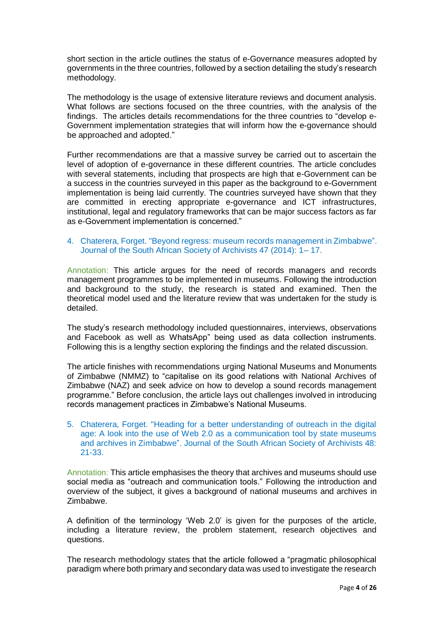short section in the article outlines the status of e-Governance measures adopted by governments in the three countries, followed by a section detailing the study's research methodology.

The methodology is the usage of extensive literature reviews and document analysis. What follows are sections focused on the three countries, with the analysis of the findings. The articles details recommendations for the three countries to "develop e-Government implementation strategies that will inform how the e-governance should be approached and adopted."

Further recommendations are that a massive survey be carried out to ascertain the level of adoption of e-governance in these different countries. The article concludes with several statements, including that prospects are high that e-Government can be a success in the countries surveyed in this paper as the background to e-Government implementation is being laid currently. The countries surveyed have shown that they are committed in erecting appropriate e-governance and ICT infrastructures, institutional, legal and regulatory frameworks that can be major success factors as far as e-Government implementation is concerned."

# 4. Chaterera, Forget. "Beyond regress: museum records management in Zimbabwe". Journal of the South African Society of Archivists 47 (2014): 1– 17.

Annotation: This article argues for the need of records managers and records management programmes to be implemented in museums. Following the introduction and background to the study, the research is stated and examined. Then the theoretical model used and the literature review that was undertaken for the study is detailed.

The study's research methodology included questionnaires, interviews, observations and Facebook as well as WhatsApp" being used as data collection instruments. Following this is a lengthy section exploring the findings and the related discussion.

The article finishes with recommendations urging National Museums and Monuments of Zimbabwe (NMMZ) to "capitalise on its good relations with National Archives of Zimbabwe (NAZ) and seek advice on how to develop a sound records management programme." Before conclusion, the article lays out challenges involved in introducing records management practices in Zimbabwe's National Museums.

5. Chaterera, Forget. "Heading for a better understanding of outreach in the digital age: A look into the use of Web 2.0 as a communication tool by state museums and archives in Zimbabwe". Journal of the South African Society of Archivists 48: 21-33.

Annotation: This article emphasises the theory that archives and museums should use social media as "outreach and communication tools." Following the introduction and overview of the subject, it gives a background of national museums and archives in Zimbabwe.

A definition of the terminology 'Web 2.0' is given for the purposes of the article, including a literature review, the problem statement, research objectives and questions.

The research methodology states that the article followed a "pragmatic philosophical paradigm where both primary and secondary data was used to investigate the research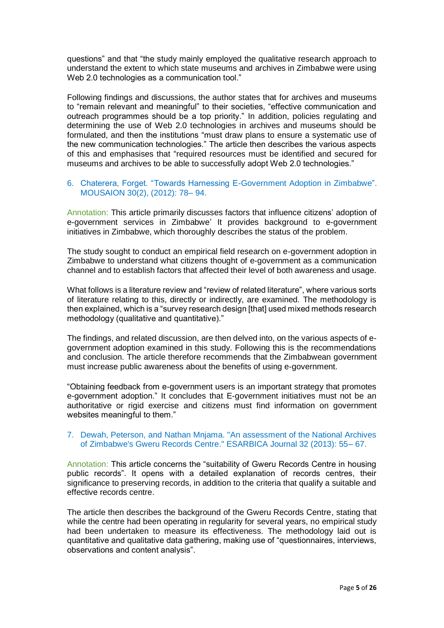questions" and that "the study mainly employed the qualitative research approach to understand the extent to which state museums and archives in Zimbabwe were using Web 2.0 technologies as a communication tool."

Following findings and discussions, the author states that for archives and museums to "remain relevant and meaningful" to their societies, "effective communication and outreach programmes should be a top priority." In addition, policies regulating and determining the use of Web 2.0 technologies in archives and museums should be formulated, and then the institutions "must draw plans to ensure a systematic use of the new communication technologies." The article then describes the various aspects of this and emphasises that "required resources must be identified and secured for museums and archives to be able to successfully adopt Web 2.0 technologies."

# 6. Chaterera, Forget. "Towards Harnessing E-Government Adoption in Zimbabwe". MOUSAION 30(2), (2012): 78– 94.

Annotation: This article primarily discusses factors that influence citizens' adoption of e-government services in Zimbabwe' It provides background to e-government initiatives in Zimbabwe, which thoroughly describes the status of the problem.

The study sought to conduct an empirical field research on e-government adoption in Zimbabwe to understand what citizens thought of e-government as a communication channel and to establish factors that affected their level of both awareness and usage.

What follows is a literature review and "review of related literature", where various sorts of literature relating to this, directly or indirectly, are examined. The methodology is then explained, which is a "survey research design [that] used mixed methods research methodology (qualitative and quantitative)."

The findings, and related discussion, are then delved into, on the various aspects of egovernment adoption examined in this study. Following this is the recommendations and conclusion. The article therefore recommends that the Zimbabwean government must increase public awareness about the benefits of using e-government.

"Obtaining feedback from e-government users is an important strategy that promotes e-government adoption." It concludes that E-government initiatives must not be an authoritative or rigid exercise and citizens must find information on government websites meaningful to them."

# 7. Dewah, Peterson, and Nathan Mnjama. "An assessment of the National Archives of Zimbabwe's Gweru Records Centre." ESARBICA Journal 32 (2013): 55– 67.

Annotation: This article concerns the "suitability of Gweru Records Centre in housing public records". It opens with a detailed explanation of records centres, their significance to preserving records, in addition to the criteria that qualify a suitable and effective records centre.

The article then describes the background of the Gweru Records Centre, stating that while the centre had been operating in regularity for several years, no empirical study had been undertaken to measure its effectiveness. The methodology laid out is quantitative and qualitative data gathering, making use of "questionnaires, interviews, observations and content analysis".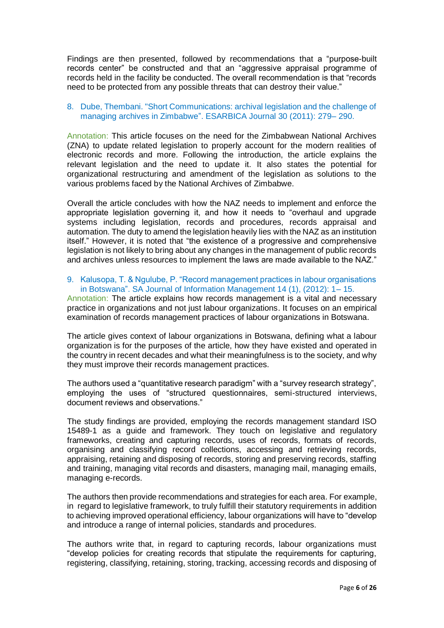Findings are then presented, followed by recommendations that a "purpose-built records center" be constructed and that an "aggressive appraisal programme of records held in the facility be conducted. The overall recommendation is that "records need to be protected from any possible threats that can destroy their value."

# 8. Dube, Thembani. "Short Communications: archival legislation and the challenge of managing archives in Zimbabwe". ESARBICA Journal 30 (2011): 279– 290.

Annotation: This article focuses on the need for the Zimbabwean National Archives (ZNA) to update related legislation to properly account for the modern realities of electronic records and more. Following the introduction, the article explains the relevant legislation and the need to update it. It also states the potential for organizational restructuring and amendment of the legislation as solutions to the various problems faced by the National Archives of Zimbabwe.

Overall the article concludes with how the NAZ needs to implement and enforce the appropriate legislation governing it, and how it needs to "overhaul and upgrade systems including legislation, records and procedures, records appraisal and automation. The duty to amend the legislation heavily lies with the NAZ as an institution itself." However, it is noted that "the existence of a progressive and comprehensive legislation is not likely to bring about any changes in the management of public records and archives unless resources to implement the laws are made available to the NAZ."

# 9. Kalusopa, T. & Ngulube, P. "Record management practices in labour organisations in Botswana". SA Journal of Information Management 14 (1), (2012): 1– 15.

Annotation: The article explains how records management is a vital and necessary practice in organizations and not just labour organizations. It focuses on an empirical examination of records management practices of labour organizations in Botswana.

The article gives context of labour organizations in Botswana, defining what a labour organization is for the purposes of the article, how they have existed and operated in the country in recent decades and what their meaningfulness is to the society, and why they must improve their records management practices.

The authors used a "quantitative research paradigm" with a "survey research strategy", employing the uses of "structured questionnaires, semi-structured interviews, document reviews and observations."

The study findings are provided, employing the records management standard ISO 15489-1 as a guide and framework. They touch on legislative and regulatory frameworks, creating and capturing records, uses of records, formats of records, organising and classifying record collections, accessing and retrieving records, appraising, retaining and disposing of records, storing and preserving records, staffing and training, managing vital records and disasters, managing mail, managing emails, managing e-records.

The authors then provide recommendations and strategies for each area. For example, in regard to legislative framework, to truly fulfill their statutory requirements in addition to achieving improved operational efficiency, labour organizations will have to "develop and introduce a range of internal policies, standards and procedures.

The authors write that, in regard to capturing records, labour organizations must "develop policies for creating records that stipulate the requirements for capturing, registering, classifying, retaining, storing, tracking, accessing records and disposing of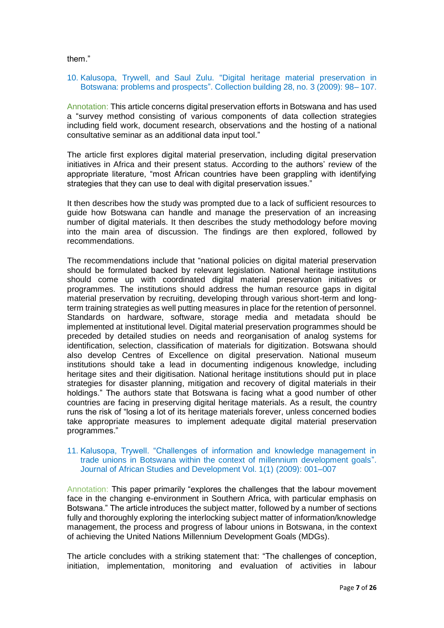them."

#### 10. Kalusopa, Trywell, and Saul Zulu. "Digital heritage material preservation in Botswana: problems and prospects". Collection building 28, no. 3 (2009): 98– 107.

Annotation: This article concerns digital preservation efforts in Botswana and has used a "survey method consisting of various components of data collection strategies including field work, document research, observations and the hosting of a national consultative seminar as an additional data input tool."

The article first explores digital material preservation, including digital preservation initiatives in Africa and their present status. According to the authors' review of the appropriate literature, "most African countries have been grappling with identifying strategies that they can use to deal with digital preservation issues."

It then describes how the study was prompted due to a lack of sufficient resources to guide how Botswana can handle and manage the preservation of an increasing number of digital materials. It then describes the study methodology before moving into the main area of discussion. The findings are then explored, followed by recommendations.

The recommendations include that "national policies on digital material preservation should be formulated backed by relevant legislation. National heritage institutions should come up with coordinated digital material preservation initiatives or programmes. The institutions should address the human resource gaps in digital material preservation by recruiting, developing through various short-term and longterm training strategies as well putting measures in place for the retention of personnel. Standards on hardware, software, storage media and metadata should be implemented at institutional level. Digital material preservation programmes should be preceded by detailed studies on needs and reorganisation of analog systems for identification, selection, classification of materials for digitization. Botswana should also develop Centres of Excellence on digital preservation. National museum institutions should take a lead in documenting indigenous knowledge, including heritage sites and their digitisation. National heritage institutions should put in place strategies for disaster planning, mitigation and recovery of digital materials in their holdings." The authors state that Botswana is facing what a good number of other countries are facing in preserving digital heritage materials. As a result, the country runs the risk of "losing a lot of its heritage materials forever, unless concerned bodies take appropriate measures to implement adequate digital material preservation programmes."

#### 11. Kalusopa, Trywell. "Challenges of information and knowledge management in trade unions in Botswana within the context of millennium development goals". Journal of African Studies and Development Vol. 1(1) (2009): 001–007

Annotation: This paper primarily "explores the challenges that the labour movement face in the changing e-environment in Southern Africa, with particular emphasis on Botswana." The article introduces the subject matter, followed by a number of sections fully and thoroughly exploring the interlocking subject matter of information/knowledge management, the process and progress of labour unions in Botswana, in the context of achieving the United Nations Millennium Development Goals (MDGs).

The article concludes with a striking statement that: "The challenges of conception, initiation, implementation, monitoring and evaluation of activities in labour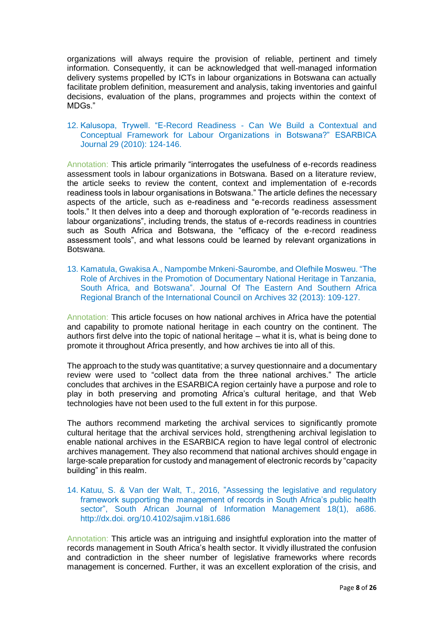organizations will always require the provision of reliable, pertinent and timely information. Consequently, it can be acknowledged that well-managed information delivery systems propelled by ICTs in labour organizations in Botswana can actually facilitate problem definition, measurement and analysis, taking inventories and gainful decisions, evaluation of the plans, programmes and projects within the context of MDGs."

#### 12. Kalusopa, Trywell. "E-Record Readiness - Can We Build a Contextual and Conceptual Framework for Labour Organizations in Botswana?" ESARBICA Journal 29 (2010): 124-146.

Annotation: This article primarily "interrogates the usefulness of e-records readiness assessment tools in labour organizations in Botswana. Based on a literature review, the article seeks to review the content, context and implementation of e-records readiness tools in labour organisations in Botswana." The article defines the necessary aspects of the article, such as e-readiness and "e-records readiness assessment tools." It then delves into a deep and thorough exploration of "e-records readiness in labour organizations", including trends, the status of e-records readiness in countries such as South Africa and Botswana, the "efficacy of the e-record readiness assessment tools", and what lessons could be learned by relevant organizations in Botswana.

13. Kamatula, Gwakisa A., Nampombe Mnkeni-Saurombe, and Olefhile Mosweu. "The Role of Archives in the Promotion of Documentary National Heritage in Tanzania, South Africa, and Botswana". Journal Of The Eastern And Southern Africa Regional Branch of the International Council on Archives 32 (2013): 109-127.

Annotation: This article focuses on how national archives in Africa have the potential and capability to promote national heritage in each country on the continent. The authors first delve into the topic of national heritage – what it is, what is being done to promote it throughout Africa presently, and how archives tie into all of this.

The approach to the study was quantitative; a survey questionnaire and a documentary review were used to "collect data from the three national archives." The article concludes that archives in the ESARBICA region certainly have a purpose and role to play in both preserving and promoting Africa's cultural heritage, and that Web technologies have not been used to the full extent in for this purpose.

The authors recommend marketing the archival services to significantly promote cultural heritage that the archival services hold, strengthening archival legislation to enable national archives in the ESARBICA region to have legal control of electronic archives management. They also recommend that national archives should engage in large-scale preparation for custody and management of electronic records by "capacity building" in this realm.

14. Katuu, S. & Van der Walt, T., 2016, "Assessing the legislative and regulatory framework supporting the management of records in South Africa's public health sector", South African Journal of Information Management 18(1), a686. http://dx.doi. org/10.4102/sajim.v18i1.686

Annotation: This article was an intriguing and insightful exploration into the matter of records management in South Africa's health sector. It vividly illustrated the confusion and contradiction in the sheer number of legislative frameworks where records management is concerned. Further, it was an excellent exploration of the crisis, and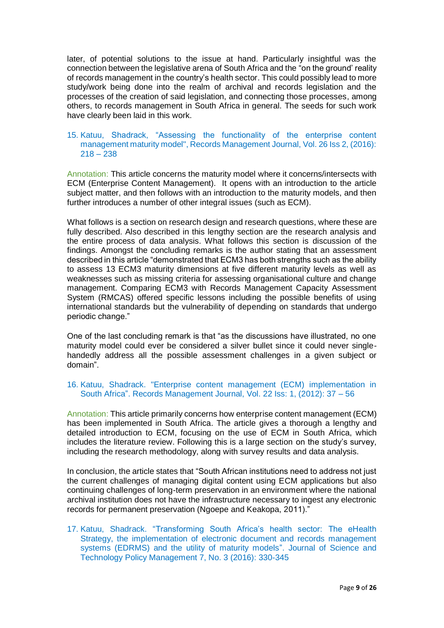later, of potential solutions to the issue at hand. Particularly insightful was the connection between the legislative arena of South Africa and the "on the ground' reality of records management in the country's health sector. This could possibly lead to more study/work being done into the realm of archival and records legislation and the processes of the creation of said legislation, and connecting those processes, among others, to records management in South Africa in general. The seeds for such work have clearly been laid in this work.

# 15. Katuu, Shadrack, "Assessing the functionality of the enterprise content management maturity model", Records Management Journal, Vol. 26 Iss 2, (2016):  $218 - 238$

Annotation: This article concerns the maturity model where it concerns/intersects with ECM (Enterprise Content Management). It opens with an introduction to the article subject matter, and then follows with an introduction to the maturity models, and then further introduces a number of other integral issues (such as ECM).

What follows is a section on research design and research questions, where these are fully described. Also described in this lengthy section are the research analysis and the entire process of data analysis. What follows this section is discussion of the findings. Amongst the concluding remarks is the author stating that an assessment described in this article "demonstrated that ECM3 has both strengths such as the ability to assess 13 ECM3 maturity dimensions at five different maturity levels as well as weaknesses such as missing criteria for assessing organisational culture and change management. Comparing ECM3 with Records Management Capacity Assessment System (RMCAS) offered specific lessons including the possible benefits of using international standards but the vulnerability of depending on standards that undergo periodic change."

One of the last concluding remark is that "as the discussions have illustrated, no one maturity model could ever be considered a silver bullet since it could never singlehandedly address all the possible assessment challenges in a given subject or domain".

# 16. Katuu, Shadrack. "Enterprise content management (ECM) implementation in South Africa". Records Management Journal, Vol. 22 Iss: 1, (2012): 37 – 56

Annotation: This article primarily concerns how enterprise content management (ECM) has been implemented in South Africa. The article gives a thorough a lengthy and detailed introduction to ECM, focusing on the use of ECM in South Africa, which includes the literature review. Following this is a large section on the study's survey, including the research methodology, along with survey results and data analysis.

In conclusion, the article states that "South African institutions need to address not just the current challenges of managing digital content using ECM applications but also continuing challenges of long-term preservation in an environment where the national archival institution does not have the infrastructure necessary to ingest any electronic records for permanent preservation (Ngoepe and Keakopa, 2011)."

17. Katuu, Shadrack. "Transforming South Africa's health sector: The eHealth Strategy, the implementation of electronic document and records management systems (EDRMS) and the utility of maturity models". Journal of Science and Technology Policy Management 7, No. 3 (2016): 330-345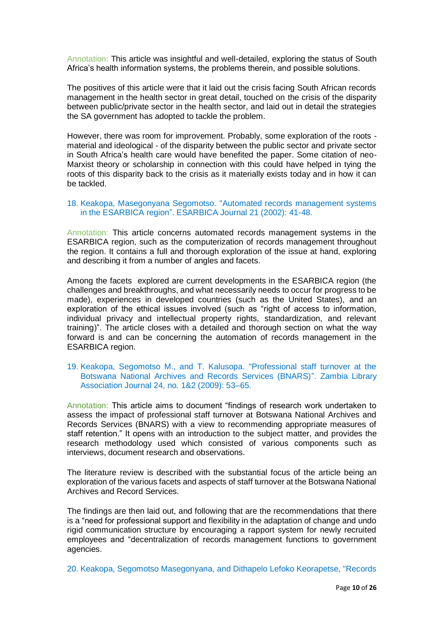Annotation: This article was insightful and well-detailed, exploring the status of South Africa's health information systems, the problems therein, and possible solutions.

The positives of this article were that it laid out the crisis facing South African records management in the health sector in great detail, touched on the crisis of the disparity between public/private sector in the health sector, and laid out in detail the strategies the SA government has adopted to tackle the problem.

However, there was room for improvement. Probably, some exploration of the roots material and ideological - of the disparity between the public sector and private sector in South Africa's health care would have benefited the paper. Some citation of neo-Marxist theory or scholarship in connection with this could have helped in tying the roots of this disparity back to the crisis as it materially exists today and in how it can be tackled.

#### 18. Keakopa, Masegonyana Segomotso. "Automated records management systems in the ESARBICA region". ESARBICA Journal 21 (2002): 41-48.

Annotation: This article concerns automated records management systems in the ESARBICA region, such as the computerization of records management throughout the region. It contains a full and thorough exploration of the issue at hand, exploring and describing it from a number of angles and facets.

Among the facets explored are current developments in the ESARBICA region (the challenges and breakthroughs, and what necessarily needs to occur for progress to be made), experiences in developed countries (such as the United States), and an exploration of the ethical issues involved (such as "right of access to information, individual privacy and intellectual property rights, standardization, and relevant training)". The article closes with a detailed and thorough section on what the way forward is and can be concerning the automation of records management in the ESARBICA region.

#### 19. Keakopa, Segomotso M., and T. Kalusopa. "Professional staff turnover at the Botswana National Archives and Records Services (BNARS)". Zambia Library Association Journal 24, no. 1&2 (2009): 53–65.

Annotation: This article aims to document "findings of research work undertaken to assess the impact of professional staff turnover at Botswana National Archives and Records Services (BNARS) with a view to recommending appropriate measures of staff retention." It opens with an introduction to the subject matter, and provides the research methodology used which consisted of various components such as interviews, document research and observations.

The literature review is described with the substantial focus of the article being an exploration of the various facets and aspects of staff turnover at the Botswana National Archives and Record Services.

The findings are then laid out, and following that are the recommendations that there is a "need for professional support and flexibility in the adaptation of change and undo rigid communication structure by encouraging a rapport system for newly recruited employees and "decentralization of records management functions to government agencies.

20. Keakopa, Segomotso Masegonyana, and Dithapelo Lefoko Keorapetse, "Records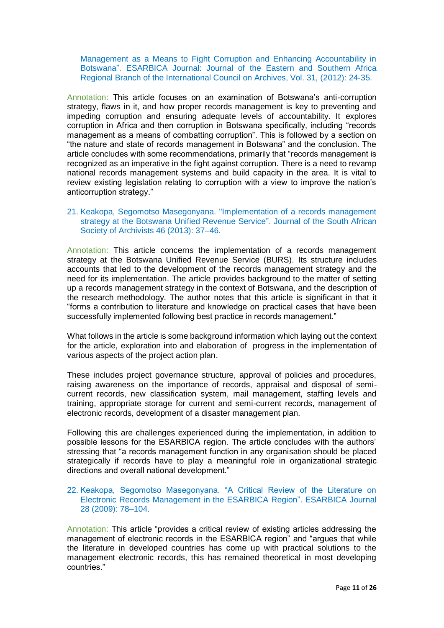Management as a Means to Fight Corruption and Enhancing Accountability in Botswana". ESARBICA Journal: Journal of the Eastern and Southern Africa Regional Branch of the International Council on Archives, Vol. 31, (2012): 24-35.

Annotation: This article focuses on an examination of Botswana's anti-corruption strategy, flaws in it, and how proper records management is key to preventing and impeding corruption and ensuring adequate levels of accountability. It explores corruption in Africa and then corruption in Botswana specifically, including "records management as a means of combatting corruption". This is followed by a section on "the nature and state of records management in Botswana" and the conclusion. The article concludes with some recommendations, primarily that "records management is recognized as an imperative in the fight against corruption. There is a need to revamp national records management systems and build capacity in the area. It is vital to review existing legislation relating to corruption with a view to improve the nation's anticorruption strategy."

#### 21. Keakopa, Segomotso Masegonyana. "Implementation of a records management strategy at the Botswana Unified Revenue Service". Journal of the South African Society of Archivists 46 (2013): 37–46.

Annotation: This article concerns the implementation of a records management strategy at the Botswana Unified Revenue Service (BURS). Its structure includes accounts that led to the development of the records management strategy and the need for its implementation. The article provides background to the matter of setting up a records management strategy in the context of Botswana, and the description of the research methodology. The author notes that this article is significant in that it "forms a contribution to literature and knowledge on practical cases that have been successfully implemented following best practice in records management."

What follows in the article is some background information which laying out the context for the article, exploration into and elaboration of progress in the implementation of various aspects of the project action plan.

These includes project governance structure, approval of policies and procedures, raising awareness on the importance of records, appraisal and disposal of semicurrent records, new classification system, mail management, staffing levels and training, appropriate storage for current and semi-current records, management of electronic records, development of a disaster management plan.

Following this are challenges experienced during the implementation, in addition to possible lessons for the ESARBICA region. The article concludes with the authors' stressing that "a records management function in any organisation should be placed strategically if records have to play a meaningful role in organizational strategic directions and overall national development."

# 22. Keakopa, Segomotso Masegonyana. "A Critical Review of the Literature on Electronic Records Management in the ESARBICA Region". ESARBICA Journal 28 (2009): 78–104.

Annotation: This article "provides a critical review of existing articles addressing the management of electronic records in the ESARBICA region" and "argues that while the literature in developed countries has come up with practical solutions to the management electronic records, this has remained theoretical in most developing countries."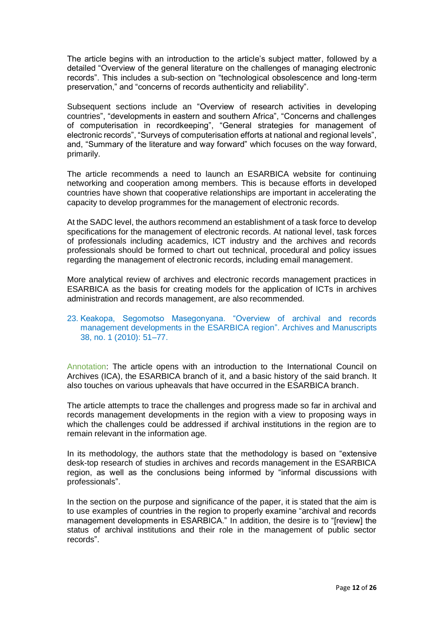The article begins with an introduction to the article's subject matter, followed by a detailed "Overview of the general literature on the challenges of managing electronic records". This includes a sub-section on "technological obsolescence and long-term preservation," and "concerns of records authenticity and reliability".

Subsequent sections include an "Overview of research activities in developing countries", "developments in eastern and southern Africa", "Concerns and challenges of computerisation in recordkeeping", "General strategies for management of electronic records", "Surveys of computerisation efforts at national and regional levels", and, "Summary of the literature and way forward" which focuses on the way forward, primarily.

The article recommends a need to launch an ESARBICA website for continuing networking and cooperation among members. This is because efforts in developed countries have shown that cooperative relationships are important in accelerating the capacity to develop programmes for the management of electronic records.

At the SADC level, the authors recommend an establishment of a task force to develop specifications for the management of electronic records. At national level, task forces of professionals including academics, ICT industry and the archives and records professionals should be formed to chart out technical, procedural and policy issues regarding the management of electronic records, including email management.

More analytical review of archives and electronic records management practices in ESARBICA as the basis for creating models for the application of ICTs in archives administration and records management, are also recommended.

# 23. Keakopa, Segomotso Masegonyana. "Overview of archival and records management developments in the ESARBICA region". Archives and Manuscripts 38, no. 1 (2010): 51–77.

Annotation: The article opens with an introduction to the International Council on Archives (ICA), the ESARBICA branch of it, and a basic history of the said branch. It also touches on various upheavals that have occurred in the ESARBICA branch.

The article attempts to trace the challenges and progress made so far in archival and records management developments in the region with a view to proposing ways in which the challenges could be addressed if archival institutions in the region are to remain relevant in the information age.

In its methodology, the authors state that the methodology is based on "extensive desk-top research of studies in archives and records management in the ESARBICA region, as well as the conclusions being informed by "informal discussions with professionals".

In the section on the purpose and significance of the paper, it is stated that the aim is to use examples of countries in the region to properly examine "archival and records management developments in ESARBICA." In addition, the desire is to "[review] the status of archival institutions and their role in the management of public sector records".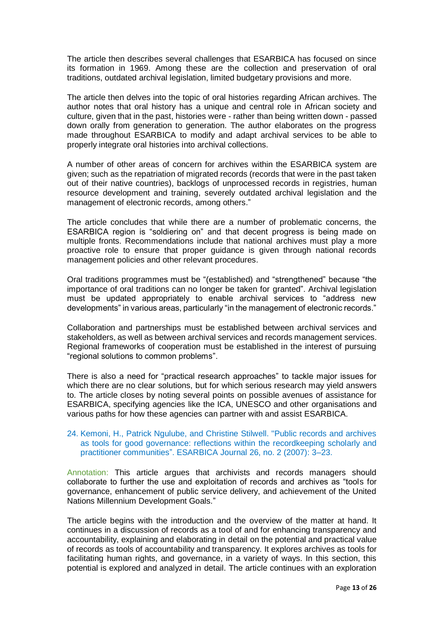The article then describes several challenges that ESARBICA has focused on since its formation in 1969. Among these are the collection and preservation of oral traditions, outdated archival legislation, limited budgetary provisions and more.

The article then delves into the topic of oral histories regarding African archives. The author notes that oral history has a unique and central role in African society and culture, given that in the past, histories were - rather than being written down - passed down orally from generation to generation. The author elaborates on the progress made throughout ESARBICA to modify and adapt archival services to be able to properly integrate oral histories into archival collections.

A number of other areas of concern for archives within the ESARBICA system are given; such as the repatriation of migrated records (records that were in the past taken out of their native countries), backlogs of unprocessed records in registries, human resource development and training, severely outdated archival legislation and the management of electronic records, among others."

The article concludes that while there are a number of problematic concerns, the ESARBICA region is "soldiering on" and that decent progress is being made on multiple fronts. Recommendations include that national archives must play a more proactive role to ensure that proper guidance is given through national records management policies and other relevant procedures.

Oral traditions programmes must be "(established) and "strengthened" because "the importance of oral traditions can no longer be taken for granted". Archival legislation must be updated appropriately to enable archival services to "address new developments" in various areas, particularly "in the management of electronic records."

Collaboration and partnerships must be established between archival services and stakeholders, as well as between archival services and records management services. Regional frameworks of cooperation must be established in the interest of pursuing "regional solutions to common problems".

There is also a need for "practical research approaches" to tackle major issues for which there are no clear solutions, but for which serious research may yield answers to. The article closes by noting several points on possible avenues of assistance for ESARBICA, specifying agencies like the ICA, UNESCO and other organisations and various paths for how these agencies can partner with and assist ESARBICA.

#### 24. Kemoni, H., Patrick Ngulube, and Christine Stilwell. "Public records and archives as tools for good governance: reflections within the recordkeeping scholarly and practitioner communities". ESARBICA Journal 26, no. 2 (2007): 3–23.

Annotation: This article argues that archivists and records managers should collaborate to further the use and exploitation of records and archives as "tools for governance, enhancement of public service delivery, and achievement of the United Nations Millennium Development Goals."

The article begins with the introduction and the overview of the matter at hand. It continues in a discussion of records as a tool of and for enhancing transparency and accountability, explaining and elaborating in detail on the potential and practical value of records as tools of accountability and transparency. It explores archives as tools for facilitating human rights, and governance, in a variety of ways. In this section, this potential is explored and analyzed in detail. The article continues with an exploration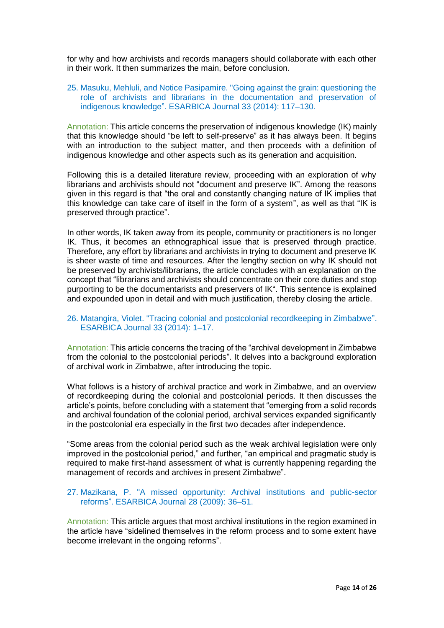for why and how archivists and records managers should collaborate with each other in their work. It then summarizes the main, before conclusion.

# 25. Masuku, Mehluli, and Notice Pasipamire. "Going against the grain: questioning the role of archivists and librarians in the documentation and preservation of indigenous knowledge". ESARBICA Journal 33 (2014): 117–130.

Annotation: This article concerns the preservation of indigenous knowledge (IK) mainly that this knowledge should "be left to self-preserve" as it has always been. It begins with an introduction to the subject matter, and then proceeds with a definition of indigenous knowledge and other aspects such as its generation and acquisition.

Following this is a detailed literature review, proceeding with an exploration of why librarians and archivists should not "document and preserve IK". Among the reasons given in this regard is that "the oral and constantly changing nature of IK implies that this knowledge can take care of itself in the form of a system", as well as that "IK is preserved through practice".

In other words, IK taken away from its people, community or practitioners is no longer IK. Thus, it becomes an ethnographical issue that is preserved through practice. Therefore, any effort by librarians and archivists in trying to document and preserve IK is sheer waste of time and resources. After the lengthy section on why IK should not be preserved by archivists/librarians, the article concludes with an explanation on the concept that "librarians and archivists should concentrate on their core duties and stop purporting to be the documentarists and preservers of IK". This sentence is explained and expounded upon in detail and with much justification, thereby closing the article.

#### 26. Matangira, Violet. "Tracing colonial and postcolonial recordkeeping in Zimbabwe". ESARBICA Journal 33 (2014): 1–17.

Annotation: This article concerns the tracing of the "archival development in Zimbabwe from the colonial to the postcolonial periods". It delves into a background exploration of archival work in Zimbabwe, after introducing the topic.

What follows is a history of archival practice and work in Zimbabwe, and an overview of recordkeeping during the colonial and postcolonial periods. It then discusses the article's points, before concluding with a statement that "emerging from a solid records and archival foundation of the colonial period, archival services expanded significantly in the postcolonial era especially in the first two decades after independence.

"Some areas from the colonial period such as the weak archival legislation were only improved in the postcolonial period," and further, "an empirical and pragmatic study is required to make first-hand assessment of what is currently happening regarding the management of records and archives in present Zimbabwe".

# 27. Mazikana, P. "A missed opportunity: Archival institutions and public-sector reforms". ESARBICA Journal 28 (2009): 36–51.

Annotation: This article argues that most archival institutions in the region examined in the article have "sidelined themselves in the reform process and to some extent have become irrelevant in the ongoing reforms".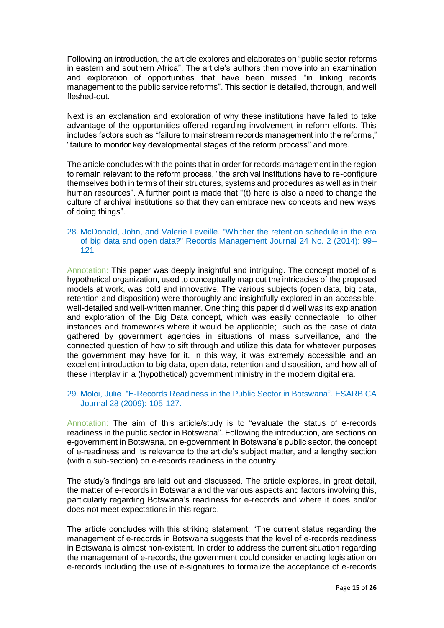Following an introduction, the article explores and elaborates on "public sector reforms in eastern and southern Africa". The article's authors then move into an examination and exploration of opportunities that have been missed "in linking records management to the public service reforms". This section is detailed, thorough, and well fleshed-out.

Next is an explanation and exploration of why these institutions have failed to take advantage of the opportunities offered regarding involvement in reform efforts. This includes factors such as "failure to mainstream records management into the reforms," "failure to monitor key developmental stages of the reform process" and more.

The article concludes with the points that in order for records management in the region to remain relevant to the reform process, "the archival institutions have to re-configure themselves both in terms of their structures, systems and procedures as well as in their human resources". A further point is made that "(t) here is also a need to change the culture of archival institutions so that they can embrace new concepts and new ways of doing things".

# 28. McDonald, John, and Valerie Leveille. "Whither the retention schedule in the era of big data and open data?" Records Management Journal 24 No. 2 (2014): 99– 121

Annotation: This paper was deeply insightful and intriguing. The concept model of a hypothetical organization, used to conceptually map out the intricacies of the proposed models at work, was bold and innovative. The various subjects (open data, big data, retention and disposition) were thoroughly and insightfully explored in an accessible, well-detailed and well-written manner. One thing this paper did well was its explanation and exploration of the Big Data concept, which was easily connectable to other instances and frameworks where it would be applicable; such as the case of data gathered by government agencies in situations of mass surveillance, and the connected question of how to sift through and utilize this data for whatever purposes the government may have for it. In this way, it was extremely accessible and an excellent introduction to big data, open data, retention and disposition, and how all of these interplay in a (hypothetical) government ministry in the modern digital era.

# 29. Moloi, Julie. "E-Records Readiness in the Public Sector in Botswana". ESARBICA Journal 28 (2009): 105-127.

Annotation: The aim of this article/study is to "evaluate the status of e-records readiness in the public sector in Botswana". Following the introduction, are sections on e-government in Botswana, on e-government in Botswana's public sector, the concept of e-readiness and its relevance to the article's subject matter, and a lengthy section (with a sub-section) on e-records readiness in the country.

The study's findings are laid out and discussed. The article explores, in great detail, the matter of e-records in Botswana and the various aspects and factors involving this, particularly regarding Botswana's readiness for e-records and where it does and/or does not meet expectations in this regard.

The article concludes with this striking statement: "The current status regarding the management of e-records in Botswana suggests that the level of e-records readiness in Botswana is almost non-existent. In order to address the current situation regarding the management of e-records, the government could consider enacting legislation on e-records including the use of e-signatures to formalize the acceptance of e-records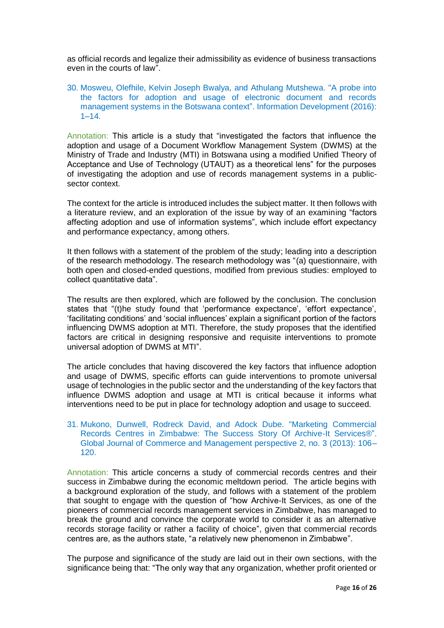as official records and legalize their admissibility as evidence of business transactions even in the courts of law".

30. Mosweu, Olefhile, Kelvin Joseph Bwalya, and Athulang Mutshewa. "A probe into the factors for adoption and usage of electronic document and records management systems in the Botswana context". Information Development (2016):  $1-14.$ 

Annotation: This article is a study that "investigated the factors that influence the adoption and usage of a Document Workflow Management System (DWMS) at the Ministry of Trade and Industry (MTI) in Botswana using a modified Unified Theory of Acceptance and Use of Technology (UTAUT) as a theoretical lens" for the purposes of investigating the adoption and use of records management systems in a publicsector context.

The context for the article is introduced includes the subject matter. It then follows with a literature review, and an exploration of the issue by way of an examining "factors affecting adoption and use of information systems", which include effort expectancy and performance expectancy, among others.

It then follows with a statement of the problem of the study; leading into a description of the research methodology. The research methodology was "(a) questionnaire, with both open and closed-ended questions, modified from previous studies: employed to collect quantitative data".

The results are then explored, which are followed by the conclusion. The conclusion states that "(t)he study found that 'performance expectance', 'effort expectance', 'facilitating conditions' and 'social influences' explain a significant portion of the factors influencing DWMS adoption at MTI. Therefore, the study proposes that the identified factors are critical in designing responsive and requisite interventions to promote universal adoption of DWMS at MTI".

The article concludes that having discovered the key factors that influence adoption and usage of DWMS, specific efforts can guide interventions to promote universal usage of technologies in the public sector and the understanding of the key factors that influence DWMS adoption and usage at MTI is critical because it informs what interventions need to be put in place for technology adoption and usage to succeed.

#### 31. Mukono, Dunwell, Rodreck David, and Adock Dube. "Marketing Commercial Records Centres in Zimbabwe: The Success Story Of Archive-It Services®". Global Journal of Commerce and Management perspective 2, no. 3 (2013): 106– 120.

Annotation: This article concerns a study of commercial records centres and their success in Zimbabwe during the economic meltdown period. The article begins with a background exploration of the study, and follows with a statement of the problem that sought to engage with the question of "how Archive-It Services, as one of the pioneers of commercial records management services in Zimbabwe, has managed to break the ground and convince the corporate world to consider it as an alternative records storage facility or rather a facility of choice", given that commercial records centres are, as the authors state, "a relatively new phenomenon in Zimbabwe".

The purpose and significance of the study are laid out in their own sections, with the significance being that: "The only way that any organization, whether profit oriented or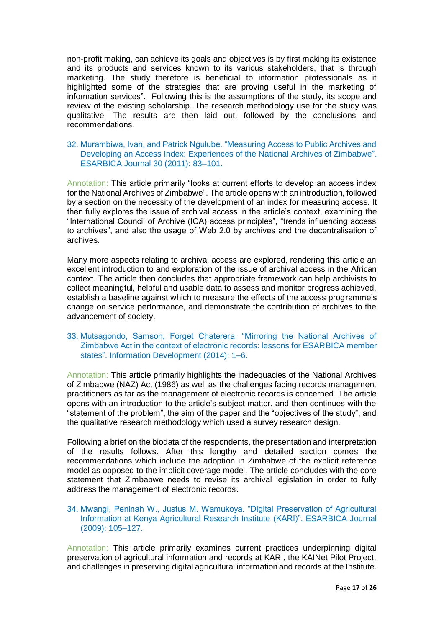non-profit making, can achieve its goals and objectives is by first making its existence and its products and services known to its various stakeholders, that is through marketing. The study therefore is beneficial to information professionals as it highlighted some of the strategies that are proving useful in the marketing of information services". Following this is the assumptions of the study, its scope and review of the existing scholarship. The research methodology use for the study was qualitative. The results are then laid out, followed by the conclusions and recommendations.

# 32. Murambiwa, Ivan, and Patrick Ngulube. "Measuring Access to Public Archives and Developing an Access Index: Experiences of the National Archives of Zimbabwe". ESARBICA Journal 30 (2011): 83–101.

Annotation: This article primarily "looks at current efforts to develop an access index for the National Archives of Zimbabwe". The article opens with an introduction, followed by a section on the necessity of the development of an index for measuring access. It then fully explores the issue of archival access in the article's context, examining the "International Council of Archive (ICA) access principles", "trends influencing access to archives", and also the usage of Web 2.0 by archives and the decentralisation of archives.

Many more aspects relating to archival access are explored, rendering this article an excellent introduction to and exploration of the issue of archival access in the African context. The article then concludes that appropriate framework can help archivists to collect meaningful, helpful and usable data to assess and monitor progress achieved, establish a baseline against which to measure the effects of the access programme's change on service performance, and demonstrate the contribution of archives to the advancement of society.

# 33. Mutsagondo, Samson, Forget Chaterera. "Mirroring the National Archives of Zimbabwe Act in the context of electronic records: lessons for ESARBICA member states". Information Development (2014): 1–6.

Annotation: This article primarily highlights the inadequacies of the National Archives of Zimbabwe (NAZ) Act (1986) as well as the challenges facing records management practitioners as far as the management of electronic records is concerned. The article opens with an introduction to the article's subject matter, and then continues with the "statement of the problem", the aim of the paper and the "objectives of the study", and the qualitative research methodology which used a survey research design.

Following a brief on the biodata of the respondents, the presentation and interpretation of the results follows. After this lengthy and detailed section comes the recommendations which include the adoption in Zimbabwe of the explicit reference model as opposed to the implicit coverage model. The article concludes with the core statement that Zimbabwe needs to revise its archival legislation in order to fully address the management of electronic records.

# 34. Mwangi, Peninah W., Justus M. Wamukoya. "Digital Preservation of Agricultural Information at Kenya Agricultural Research Institute (KARI)". ESARBICA Journal (2009): 105–127.

Annotation: This article primarily examines current practices underpinning digital preservation of agricultural information and records at KARI, the KAINet Pilot Project, and challenges in preserving digital agricultural information and records at the Institute.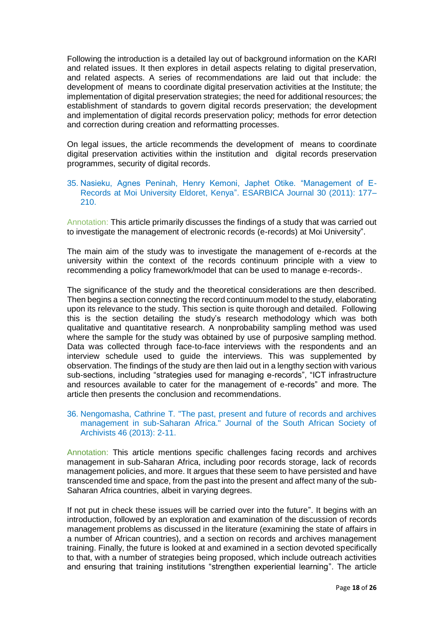Following the introduction is a detailed lay out of background information on the KARI and related issues. It then explores in detail aspects relating to digital preservation, and related aspects. A series of recommendations are laid out that include: the development of means to coordinate digital preservation activities at the Institute; the implementation of digital preservation strategies; the need for additional resources; the establishment of standards to govern digital records preservation; the development and implementation of digital records preservation policy; methods for error detection and correction during creation and reformatting processes.

On legal issues, the article recommends the development of means to coordinate digital preservation activities within the institution and digital records preservation programmes, security of digital records.

#### 35. Nasieku, Agnes Peninah, Henry Kemoni, Japhet Otike. "Management of E-Records at Moi University Eldoret, Kenya". ESARBICA Journal 30 (2011): 177– 210.

Annotation: This article primarily discusses the findings of a study that was carried out to investigate the management of electronic records (e-records) at Moi University".

The main aim of the study was to investigate the management of e-records at the university within the context of the records continuum principle with a view to recommending a policy framework/model that can be used to manage e-records-.

The significance of the study and the theoretical considerations are then described. Then begins a section connecting the record continuum model to the study, elaborating upon its relevance to the study. This section is quite thorough and detailed. Following this is the section detailing the study's research methodology which was both qualitative and quantitative research. A nonprobability sampling method was used where the sample for the study was obtained by use of purposive sampling method. Data was collected through face-to-face interviews with the respondents and an interview schedule used to guide the interviews. This was supplemented by observation. The findings of the study are then laid out in a lengthy section with various sub-sections, including "strategies used for managing e-records", "ICT infrastructure and resources available to cater for the management of e-records" and more. The article then presents the conclusion and recommendations.

# 36. Nengomasha, Cathrine T. "The past, present and future of records and archives management in sub-Saharan Africa." Journal of the South African Society of Archivists 46 (2013): 2-11.

Annotation: This article mentions specific challenges facing records and archives management in sub-Saharan Africa, including poor records storage, lack of records management policies, and more. It argues that these seem to have persisted and have transcended time and space, from the past into the present and affect many of the sub-Saharan Africa countries, albeit in varying degrees.

If not put in check these issues will be carried over into the future". It begins with an introduction, followed by an exploration and examination of the discussion of records management problems as discussed in the literature (examining the state of affairs in a number of African countries), and a section on records and archives management training. Finally, the future is looked at and examined in a section devoted specifically to that, with a number of strategies being proposed, which include outreach activities and ensuring that training institutions "strengthen experiential learning". The article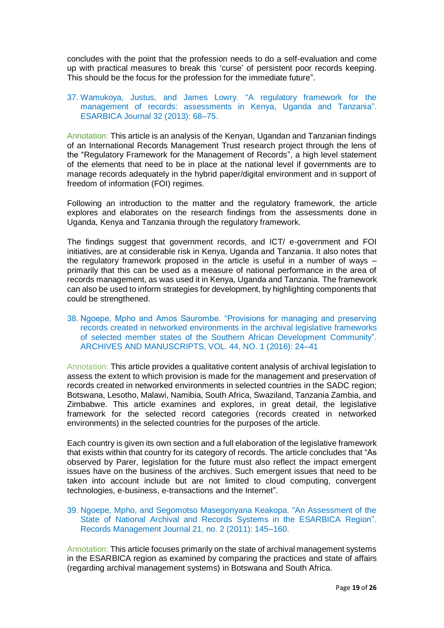concludes with the point that the profession needs to do a self-evaluation and come up with practical measures to break this 'curse' of persistent poor records keeping. This should be the focus for the profession for the immediate future".

# 37. Wamukoya, Justus, and James Lowry. "A regulatory framework for the management of records: assessments in Kenya, Uganda and Tanzania". ESARBICA Journal 32 (2013): 68–75.

Annotation: This article is an analysis of the Kenyan, Ugandan and Tanzanian findings of an International Records Management Trust research project through the lens of the "Regulatory Framework for the Management of Records", a high level statement of the elements that need to be in place at the national level if governments are to manage records adequately in the hybrid paper/digital environment and in support of freedom of information (FOI) regimes.

Following an introduction to the matter and the regulatory framework, the article explores and elaborates on the research findings from the assessments done in Uganda, Kenya and Tanzania through the regulatory framework.

The findings suggest that government records, and ICT/ e-government and FOI initiatives, are at considerable risk in Kenya, Uganda and Tanzania. It also notes that the regulatory framework proposed in the article is useful in a number of ways – primarily that this can be used as a measure of national performance in the area of records management, as was used it in Kenya, Uganda and Tanzania. The framework can also be used to inform strategies for development, by highlighting components that could be strengthened.

38. Ngoepe, Mpho and Amos Saurombe. "Provisions for managing and preserving records created in networked environments in the archival legislative frameworks of selected member states of the Southern African Development Community". ARCHIVES AND MANUSCRIPTS, VOL. 44, NO. 1 (2016): 24–41

Annotation: This article provides a qualitative content analysis of archival legislation to assess the extent to which provision is made for the management and preservation of records created in networked environments in selected countries in the SADC region; Botswana, Lesotho, Malawi, Namibia, South Africa, Swaziland, Tanzania Zambia, and Zimbabwe. This article examines and explores, in great detail, the legislative framework for the selected record categories (records created in networked environments) in the selected countries for the purposes of the article.

Each country is given its own section and a full elaboration of the legislative framework that exists within that country for its category of records. The article concludes that "As observed by Parer, legislation for the future must also reflect the impact emergent issues have on the business of the archives. Such emergent issues that need to be taken into account include but are not limited to cloud computing, convergent technologies, e-business, e-transactions and the Internet".

#### 39. Ngoepe, Mpho, and Segomotso Masegonyana Keakopa. "An Assessment of the State of National Archival and Records Systems in the ESARBICA Region". Records Management Journal 21, no. 2 (2011): 145–160.

Annotation: This article focuses primarily on the state of archival management systems in the ESARBICA region as examined by comparing the practices and state of affairs (regarding archival management systems) in Botswana and South Africa.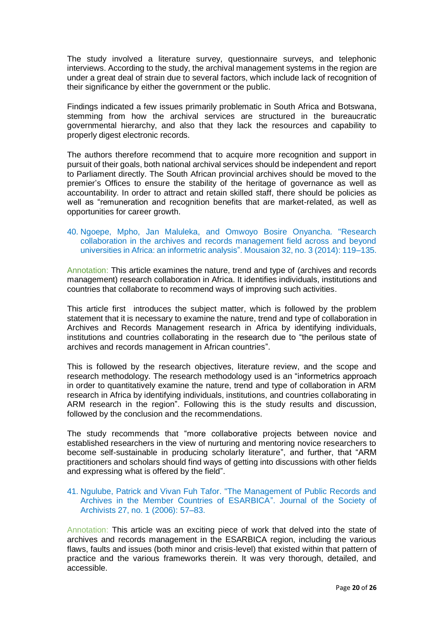The study involved a literature survey, questionnaire surveys, and telephonic interviews. According to the study, the archival management systems in the region are under a great deal of strain due to several factors, which include lack of recognition of their significance by either the government or the public.

Findings indicated a few issues primarily problematic in South Africa and Botswana, stemming from how the archival services are structured in the bureaucratic governmental hierarchy, and also that they lack the resources and capability to properly digest electronic records.

The authors therefore recommend that to acquire more recognition and support in pursuit of their goals, both national archival services should be independent and report to Parliament directly. The South African provincial archives should be moved to the premier's Offices to ensure the stability of the heritage of governance as well as accountability. In order to attract and retain skilled staff, there should be policies as well as "remuneration and recognition benefits that are market-related, as well as opportunities for career growth.

# 40. Ngoepe, Mpho, Jan Maluleka, and Omwoyo Bosire Onyancha. "Research collaboration in the archives and records management field across and beyond universities in Africa: an informetric analysis". Mousaion 32, no. 3 (2014): 119–135.

Annotation: This article examines the nature, trend and type of (archives and records management) research collaboration in Africa. It identifies individuals, institutions and countries that collaborate to recommend ways of improving such activities.

This article first introduces the subject matter, which is followed by the problem statement that it is necessary to examine the nature, trend and type of collaboration in Archives and Records Management research in Africa by identifying individuals, institutions and countries collaborating in the research due to "the perilous state of archives and records management in African countries".

This is followed by the research objectives, literature review, and the scope and research methodology. The research methodology used is an "informetrics approach in order to quantitatively examine the nature, trend and type of collaboration in ARM research in Africa by identifying individuals, institutions, and countries collaborating in ARM research in the region". Following this is the study results and discussion, followed by the conclusion and the recommendations.

The study recommends that "more collaborative projects between novice and established researchers in the view of nurturing and mentoring novice researchers to become self-sustainable in producing scholarly literature", and further, that "ARM practitioners and scholars should find ways of getting into discussions with other fields and expressing what is offered by the field".

#### 41. Ngulube, Patrick and Vivan Fuh Tafor. "The Management of Public Records and Archives in the Member Countries of ESARBICA". Journal of the Society of Archivists 27, no. 1 (2006): 57–83.

Annotation: This article was an exciting piece of work that delved into the state of archives and records management in the ESARBICA region, including the various flaws, faults and issues (both minor and crisis-level) that existed within that pattern of practice and the various frameworks therein. It was very thorough, detailed, and accessible.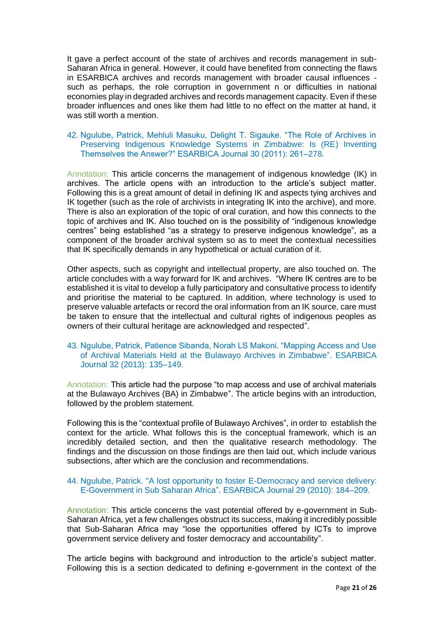It gave a perfect account of the state of archives and records management in sub-Saharan Africa in general. However, it could have benefited from connecting the flaws in ESARBICA archives and records management with broader causal influences such as perhaps, the role corruption in government n or difficulties in national economies play in degraded archives and records management capacity. Even if these broader influences and ones like them had little to no effect on the matter at hand, it was still worth a mention.

# 42. Ngulube, Patrick, Mehluli Masuku, Delight T. Sigauke. "The Role of Archives in Preserving Indigenous Knowledge Systems in Zimbabwe: Is (RE) Inventing Themselves the Answer?" ESARBICA Journal 30 (2011): 261–278.

Annotation: This article concerns the management of indigenous knowledge (IK) in archives. The article opens with an introduction to the article's subject matter. Following this is a great amount of detail in defining IK and aspects tying archives and IK together (such as the role of archivists in integrating IK into the archive), and more. There is also an exploration of the topic of oral curation, and how this connects to the topic of archives and IK. Also touched on is the possibility of "indigenous knowledge centres" being established "as a strategy to preserve indigenous knowledge", as a component of the broader archival system so as to meet the contextual necessities that IK specifically demands in any hypothetical or actual curation of it.

Other aspects, such as copyright and intellectual property, are also touched on. The article concludes with a way forward for IK and archives. "Where IK centres are to be established it is vital to develop a fully participatory and consultative process to identify and prioritise the material to be captured. In addition, where technology is used to preserve valuable artefacts or record the oral information from an IK source, care must be taken to ensure that the intellectual and cultural rights of indigenous peoples as owners of their cultural heritage are acknowledged and respected".

#### 43. Ngulube, Patrick, Patience Sibanda, Norah LS Makoni. "Mapping Access and Use of Archival Materials Held at the Bulawayo Archives in Zimbabwe". ESARBICA Journal 32 (2013): 135–149.

Annotation: This article had the purpose "to map access and use of archival materials at the Bulawayo Archives (BA) in Zimbabwe". The article begins with an introduction, followed by the problem statement.

Following this is the "contextual profile of Bulawayo Archives", in order to establish the context for the article. What follows this is the conceptual framework, which is an incredibly detailed section, and then the qualitative research methodology. The findings and the discussion on those findings are then laid out, which include various subsections, after which are the conclusion and recommendations.

# 44. Ngulube, Patrick. "A lost opportunity to foster E-Democracy and service delivery: E-Government in Sub Saharan Africa". ESARBICA Journal 29 (2010): 184–209.

Annotation: This article concerns the vast potential offered by e-government in Sub-Saharan Africa, yet a few challenges obstruct its success, making it incredibly possible that Sub-Saharan Africa may "lose the opportunities offered by ICTs to improve government service delivery and foster democracy and accountability".

The article begins with background and introduction to the article's subject matter. Following this is a section dedicated to defining e-government in the context of the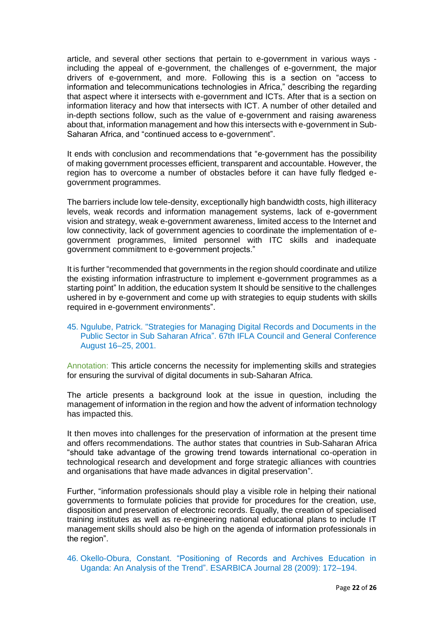article, and several other sections that pertain to e-government in various ways including the appeal of e-government, the challenges of e-government, the major drivers of e-government, and more. Following this is a section on "access to information and telecommunications technologies in Africa," describing the regarding that aspect where it intersects with e-government and ICTs. After that is a section on information literacy and how that intersects with ICT. A number of other detailed and in-depth sections follow, such as the value of e-government and raising awareness about that, information management and how this intersects with e-government in Sub-Saharan Africa, and "continued access to e-government".

It ends with conclusion and recommendations that "e-government has the possibility of making government processes efficient, transparent and accountable. However, the region has to overcome a number of obstacles before it can have fully fledged egovernment programmes.

The barriers include low tele-density, exceptionally high bandwidth costs, high illiteracy levels, weak records and information management systems, lack of e-government vision and strategy, weak e-government awareness, limited access to the Internet and low connectivity, lack of government agencies to coordinate the implementation of egovernment programmes, limited personnel with ITC skills and inadequate government commitment to e-government projects."

It is further "recommended that governments in the region should coordinate and utilize the existing information infrastructure to implement e-government programmes as a starting point" In addition, the education system It should be sensitive to the challenges ushered in by e-government and come up with strategies to equip students with skills required in e-government environments".

#### 45. Ngulube, Patrick. "Strategies for Managing Digital Records and Documents in the Public Sector in Sub Saharan Africa". 67th IFLA Council and General Conference August 16–25, 2001.

Annotation: This article concerns the necessity for implementing skills and strategies for ensuring the survival of digital documents in sub-Saharan Africa.

The article presents a background look at the issue in question, including the management of information in the region and how the advent of information technology has impacted this.

It then moves into challenges for the preservation of information at the present time and offers recommendations. The author states that countries in Sub-Saharan Africa "should take advantage of the growing trend towards international co-operation in technological research and development and forge strategic alliances with countries and organisations that have made advances in digital preservation".

Further, "information professionals should play a visible role in helping their national governments to formulate policies that provide for procedures for the creation, use, disposition and preservation of electronic records. Equally, the creation of specialised training institutes as well as re-engineering national educational plans to include IT management skills should also be high on the agenda of information professionals in the region".

46. Okello-Obura, Constant. "Positioning of Records and Archives Education in Uganda: An Analysis of the Trend". ESARBICA Journal 28 (2009): 172–194.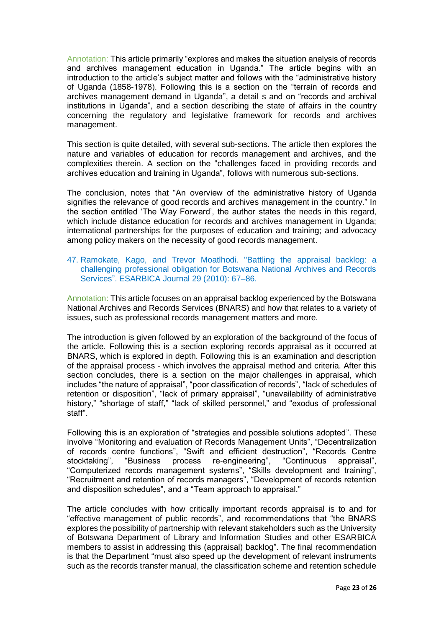Annotation: This article primarily "explores and makes the situation analysis of records and archives management education in Uganda." The article begins with an introduction to the article's subject matter and follows with the "administrative history of Uganda (1858-1978). Following this is a section on the "terrain of records and archives management demand in Uganda", a detail s and on "records and archival institutions in Uganda", and a section describing the state of affairs in the country concerning the regulatory and legislative framework for records and archives management.

This section is quite detailed, with several sub-sections. The article then explores the nature and variables of education for records management and archives, and the complexities therein. A section on the "challenges faced in providing records and archives education and training in Uganda", follows with numerous sub-sections.

The conclusion, notes that "An overview of the administrative history of Uganda signifies the relevance of good records and archives management in the country." In the section entitled 'The Way Forward', the author states the needs in this regard, which include distance education for records and archives management in Uganda; international partnerships for the purposes of education and training; and advocacy among policy makers on the necessity of good records management.

# 47. Ramokate, Kago, and Trevor Moatlhodi. "Battling the appraisal backlog: a challenging professional obligation for Botswana National Archives and Records Services". ESARBICA Journal 29 (2010): 67–86.

Annotation: This article focuses on an appraisal backlog experienced by the Botswana National Archives and Records Services (BNARS) and how that relates to a variety of issues, such as professional records management matters and more.

The introduction is given followed by an exploration of the background of the focus of the article. Following this is a section exploring records appraisal as it occurred at BNARS, which is explored in depth. Following this is an examination and description of the appraisal process - which involves the appraisal method and criteria. After this section concludes, there is a section on the major challenges in appraisal, which includes "the nature of appraisal", "poor classification of records", "lack of schedules of retention or disposition", "lack of primary appraisal", "unavailability of administrative history," "shortage of staff," "lack of skilled personnel," and "exodus of professional staff".

Following this is an exploration of "strategies and possible solutions adopted". These involve "Monitoring and evaluation of Records Management Units", "Decentralization of records centre functions", "Swift and efficient destruction", "Records Centre stocktaking", "Business process re-engineering", "Continuous appraisal", "Computerized records management systems", "Skills development and training", "Recruitment and retention of records managers", "Development of records retention and disposition schedules", and a "Team approach to appraisal."

The article concludes with how critically important records appraisal is to and for "effective management of public records", and recommendations that "the BNARS explores the possibility of partnership with relevant stakeholders such as the University of Botswana Department of Library and Information Studies and other ESARBICA members to assist in addressing this (appraisal) backlog". The final recommendation is that the Department "must also speed up the development of relevant instruments such as the records transfer manual, the classification scheme and retention schedule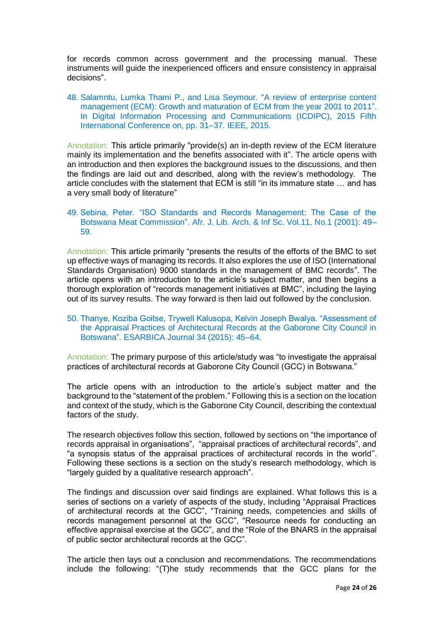for records common across government and the processing manual. These instruments will guide the inexperienced officers and ensure consistency in appraisal decisions".

48. Salamntu, Lumka Thami P., and Lisa Seymour. "A review of enterprise content management (ECM): Growth and maturation of ECM from the year 2001 to 2011". In Digital Information Processing and Communications (ICDIPC), 2015 Fifth International Conference on, pp. 31–37. IEEE, 2015.

Annotation: This article primarily "provide(s) an in-depth review of the ECM literature mainly its implementation and the benefits associated with it". The article opens with an introduction and then explores the background issues to the discussions, and then the findings are laid out and described, along with the review's methodology. The article concludes with the statement that ECM is still "in its immature state … and has a very small body of literature"

#### 49. Sebina, Peter. "ISO Standards and Records Management: The Case of the Botswana Meat Commission". Afr. J. Lib. Arch. & Inf Sc. Vol.11, No.1 (2001): 49– 59.

Annotation: This article primarily "presents the results of the efforts of the BMC to set up effective ways of managing its records. It also explores the use of ISO (International Standards Organisation) 9000 standards in the management of BMC records". The article opens with an introduction to the article's subject matter, and then begins a thorough exploration of "records management initiatives at BMC", including the laying out of its survey results. The way forward is then laid out followed by the conclusion.

#### 50. Thanye, Koziba Goitse, Trywell Kalusopa, Kelvin Joseph Bwalya. "Assessment of the Appraisal Practices of Architectural Records at the Gaborone City Council in Botswana". ESARBICA Journal 34 (2015): 45–64.

Annotation: The primary purpose of this article/study was "to investigate the appraisal practices of architectural records at Gaborone City Council (GCC) in Botswana."

The article opens with an introduction to the article's subject matter and the background to the "statement of the problem." Following this is a section on the location and context of the study, which is the Gaborone City Council, describing the contextual factors of the study.

The research objectives follow this section, followed by sections on "the importance of records appraisal in organisations", "appraisal practices of architectural records", and "a synopsis status of the appraisal practices of architectural records in the world". Following these sections is a section on the study's research methodology, which is "largely guided by a qualitative research approach".

The findings and discussion over said findings are explained. What follows this is a series of sections on a variety of aspects of the study, including "Appraisal Practices of architectural records at the GCC", "Training needs, competencies and skills of records management personnel at the GCC", "Resource needs for conducting an effective appraisal exercise at the GCC", and the "Role of the BNARS in the appraisal of public sector architectural records at the GCC".

The article then lays out a conclusion and recommendations. The recommendations include the following: "(T)he study recommends that the GCC plans for the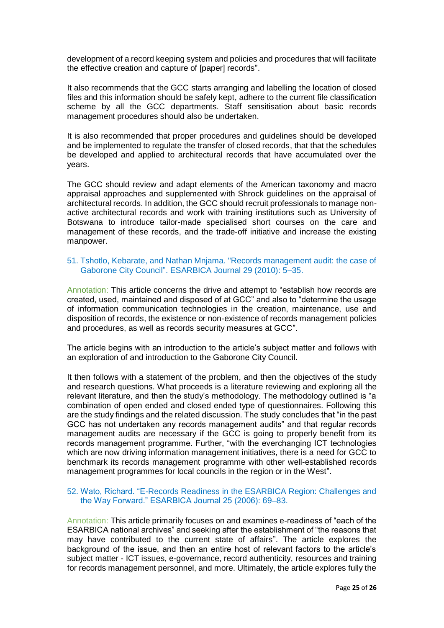development of a record keeping system and policies and procedures that will facilitate the effective creation and capture of [paper] records".

It also recommends that the GCC starts arranging and labelling the location of closed files and this information should be safely kept, adhere to the current file classification scheme by all the GCC departments. Staff sensitisation about basic records management procedures should also be undertaken.

It is also recommended that proper procedures and guidelines should be developed and be implemented to regulate the transfer of closed records, that that the schedules be developed and applied to architectural records that have accumulated over the years.

The GCC should review and adapt elements of the American taxonomy and macro appraisal approaches and supplemented with Shrock guidelines on the appraisal of architectural records. In addition, the GCC should recruit professionals to manage nonactive architectural records and work with training institutions such as University of Botswana to introduce tailor-made specialised short courses on the care and management of these records, and the trade-off initiative and increase the existing manpower.

#### 51. Tshotlo, Kebarate, and Nathan Mnjama. "Records management audit: the case of Gaborone City Council". ESARBICA Journal 29 (2010): 5–35.

Annotation: This article concerns the drive and attempt to "establish how records are created, used, maintained and disposed of at GCC" and also to "determine the usage of information communication technologies in the creation, maintenance, use and disposition of records, the existence or non-existence of records management policies and procedures, as well as records security measures at GCC".

The article begins with an introduction to the article's subject matter and follows with an exploration of and introduction to the Gaborone City Council.

It then follows with a statement of the problem, and then the objectives of the study and research questions. What proceeds is a literature reviewing and exploring all the relevant literature, and then the study's methodology. The methodology outlined is "a combination of open ended and closed ended type of questionnaires. Following this are the study findings and the related discussion. The study concludes that "in the past GCC has not undertaken any records management audits" and that regular records management audits are necessary if the GCC is going to properly benefit from its records management programme. Further, "with the everchanging ICT technologies which are now driving information management initiatives, there is a need for GCC to benchmark its records management programme with other well-established records management programmes for local councils in the region or in the West".

# 52. Wato, Richard. "E-Records Readiness in the ESARBICA Region: Challenges and the Way Forward." ESARBICA Journal 25 (2006): 69–83.

Annotation: This article primarily focuses on and examines e-readiness of "each of the ESARBICA national archives" and seeking after the establishment of "the reasons that may have contributed to the current state of affairs". The article explores the background of the issue, and then an entire host of relevant factors to the article's subject matter - ICT issues, e-governance, record authenticity, resources and training for records management personnel, and more. Ultimately, the article explores fully the